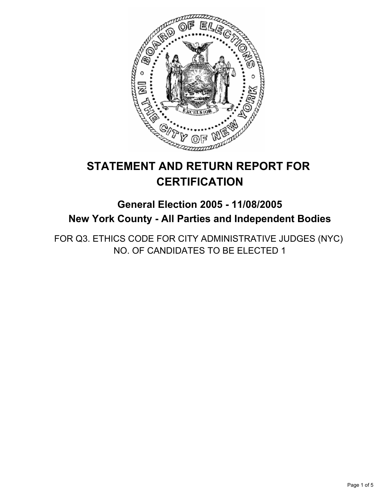

# **STATEMENT AND RETURN REPORT FOR CERTIFICATION**

# **General Election 2005 - 11/08/2005 New York County - All Parties and Independent Bodies**

FOR Q3. ETHICS CODE FOR CITY ADMINISTRATIVE JUDGES (NYC) NO. OF CANDIDATES TO BE ELECTED 1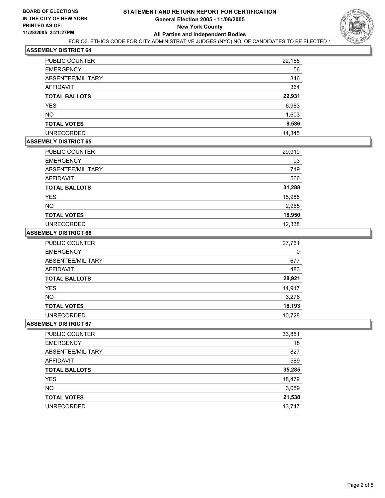

## **ASSEMBLY DISTRICT 64**

| <b>PUBLIC COUNTER</b> | 22,165 |
|-----------------------|--------|
| <b>EMERGENCY</b>      | 56     |
| ABSENTEE/MILITARY     | 346    |
| AFFIDAVIT             | 364    |
| <b>TOTAL BALLOTS</b>  | 22,931 |
| <b>YES</b>            | 6,983  |
| <b>NO</b>             | 1,603  |
| <b>TOTAL VOTES</b>    | 8,586  |
| <b>UNRECORDED</b>     | 14,345 |

# **ASSEMBLY DISTRICT 65**

| PUBLIC COUNTER       | 29,910 |
|----------------------|--------|
| <b>EMERGENCY</b>     | 93     |
| ABSENTEE/MILITARY    | 719    |
| AFFIDAVIT            | 566    |
| <b>TOTAL BALLOTS</b> | 31,288 |
| <b>YES</b>           | 15,985 |
| <b>NO</b>            | 2,965  |
| <b>TOTAL VOTES</b>   | 18,950 |
| <b>UNRECORDED</b>    | 12,338 |

### **ASSEMBLY DISTRICT 66**

| <b>PUBLIC COUNTER</b> | 27,761 |
|-----------------------|--------|
| <b>EMERGENCY</b>      | 0      |
| ABSENTEE/MILITARY     | 677    |
| AFFIDAVIT             | 483    |
| <b>TOTAL BALLOTS</b>  | 28,921 |
| YES                   | 14,917 |
| NO.                   | 3,276  |
| <b>TOTAL VOTES</b>    | 18,193 |
| <b>UNRECORDED</b>     | 10.728 |

#### **ASSEMBLY DISTRICT 67**

| PUBLIC COUNTER       | 33,851 |
|----------------------|--------|
| <b>EMERGENCY</b>     | 18     |
| ABSENTEE/MILITARY    | 827    |
| AFFIDAVIT            | 589    |
| <b>TOTAL BALLOTS</b> | 35,285 |
| <b>YES</b>           | 18,479 |
| <b>NO</b>            | 3,059  |
| <b>TOTAL VOTES</b>   | 21,538 |
| <b>UNRECORDED</b>    | 13,747 |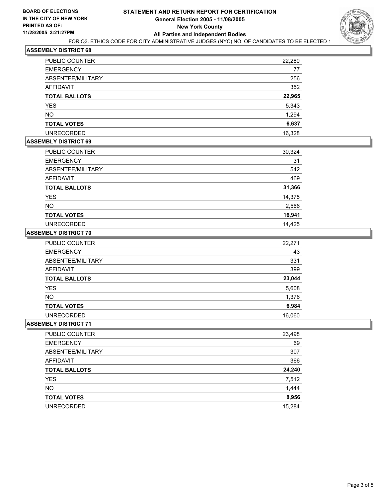

## **ASSEMBLY DISTRICT 68**

| <b>PUBLIC COUNTER</b> | 22,280 |
|-----------------------|--------|
| <b>EMERGENCY</b>      | 77     |
| ABSENTEE/MILITARY     | 256    |
| AFFIDAVIT             | 352    |
| <b>TOTAL BALLOTS</b>  | 22,965 |
| <b>YES</b>            | 5,343  |
| <b>NO</b>             | 1,294  |
| <b>TOTAL VOTES</b>    | 6,637  |
| <b>UNRECORDED</b>     | 16.328 |

# **ASSEMBLY DISTRICT 69**

| PUBLIC COUNTER       | 30,324 |
|----------------------|--------|
| <b>EMERGENCY</b>     | 31     |
| ABSENTEE/MILITARY    | 542    |
| <b>AFFIDAVIT</b>     | 469    |
| <b>TOTAL BALLOTS</b> | 31,366 |
| <b>YES</b>           | 14,375 |
| <b>NO</b>            | 2,566  |
| <b>TOTAL VOTES</b>   | 16,941 |
| <b>UNRECORDED</b>    | 14,425 |

#### **ASSEMBLY DISTRICT 70**

| <b>PUBLIC COUNTER</b> | 22,271 |
|-----------------------|--------|
| <b>EMERGENCY</b>      | 43     |
| ABSENTEE/MILITARY     | 331    |
| AFFIDAVIT             | 399    |
| <b>TOTAL BALLOTS</b>  | 23,044 |
| <b>YES</b>            | 5,608  |
| <b>NO</b>             | 1,376  |
| <b>TOTAL VOTES</b>    | 6,984  |
| <b>UNRECORDED</b>     | 16,060 |

# **ASSEMBLY DISTRICT 71**

| 23,498 |
|--------|
| 69     |
| 307    |
| 366    |
| 24,240 |
| 7,512  |
| 1,444  |
| 8,956  |
| 15,284 |
|        |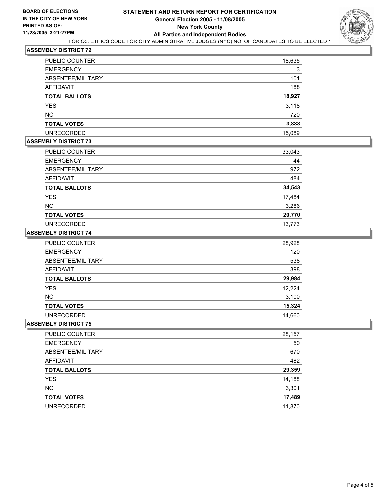

# **ASSEMBLY DISTRICT 72**

| PUBLIC COUNTER       | 18,635 |
|----------------------|--------|
| <b>EMERGENCY</b>     | 3      |
| ABSENTEE/MILITARY    | 101    |
| AFFIDAVIT            | 188    |
| <b>TOTAL BALLOTS</b> | 18,927 |
| <b>YES</b>           | 3,118  |
| <b>NO</b>            | 720    |
| <b>TOTAL VOTES</b>   | 3,838  |
| <b>UNRECORDED</b>    | 15,089 |

#### **ASSEMBLY DISTRICT 73**

| PUBLIC COUNTER       | 33,043 |
|----------------------|--------|
| <b>EMERGENCY</b>     | 44     |
| ABSENTEE/MILITARY    | 972    |
| AFFIDAVIT            | 484    |
| <b>TOTAL BALLOTS</b> | 34,543 |
| <b>YES</b>           | 17,484 |
| <b>NO</b>            | 3,286  |
| <b>TOTAL VOTES</b>   | 20,770 |
| <b>UNRECORDED</b>    | 13.773 |

### **ASSEMBLY DISTRICT 74**

| <b>PUBLIC COUNTER</b> | 28,928 |
|-----------------------|--------|
| <b>EMERGENCY</b>      | 120    |
| ABSENTEE/MILITARY     | 538    |
| AFFIDAVIT             | 398    |
| <b>TOTAL BALLOTS</b>  | 29,984 |
| YES                   | 12,224 |
| NO.                   | 3,100  |
| <b>TOTAL VOTES</b>    | 15,324 |
| <b>UNRECORDED</b>     | 14,660 |

## **ASSEMBLY DISTRICT 75**

| PUBLIC COUNTER       | 28,157 |
|----------------------|--------|
| <b>EMERGENCY</b>     | 50     |
| ABSENTEE/MILITARY    | 670    |
| AFFIDAVIT            | 482    |
| <b>TOTAL BALLOTS</b> | 29,359 |
| <b>YES</b>           | 14,188 |
| <b>NO</b>            | 3,301  |
| <b>TOTAL VOTES</b>   | 17,489 |
| <b>UNRECORDED</b>    | 11,870 |